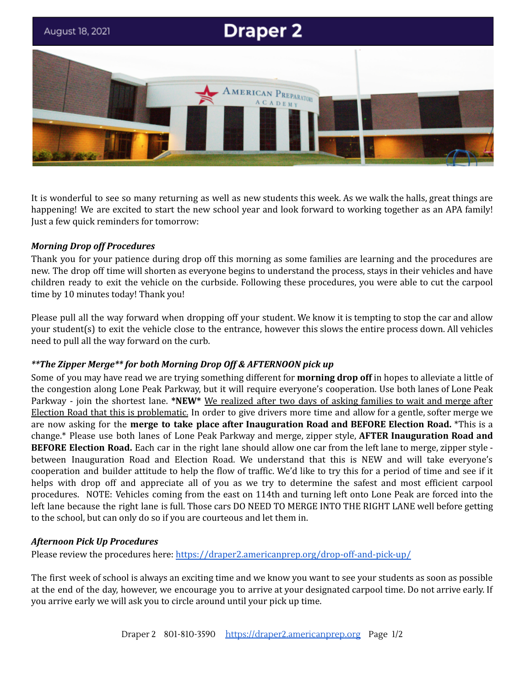

It is wonderful to see so many returning as well as new students this week. As we walk the halls, great things are happening! We are excited to start the new school year and look forward to working together as an APA family! Just a few quick reminders for tomorrow:

### *Morning Drop off Procedures*

Thank you for your patience during drop off this morning as some families are learning and the procedures are new. The drop off time will shorten as everyone begins to understand the process, stays in their vehicles and have children ready to exit the vehicle on the curbside. Following these procedures, you were able to cut the carpool time by 10 minutes today! Thank you!

Please pull all the way forward when dropping off your student. We know it is tempting to stop the car and allow your student(s) to exit the vehicle close to the entrance, however this slows the entire process down. All vehicles need to pull all the way forward on the curb.

## *\*\*The Zipper Merge\*\* for both Morning Drop Off & AFTERNOON pick up*

Some of you may have read we are trying something different for **morning drop off** in hopes to alleviate a little of the congestion along Lone Peak Parkway, but it will require everyone's cooperation. Use both lanes of Lone Peak Parkway - join the shortest lane. **\*NEW\*** We realized after two days of asking families to wait and merge after Election Road that this is problematic. In order to give drivers more time and allow for a gentle, softer merge we are now asking for the **merge to take place after Inauguration Road and BEFORE Election Road.** \*This is a change.\* Please use both lanes of Lone Peak Parkway and merge, zipper style, **AFTER Inauguration Road and BEFORE Election Road.** Each car in the right lane should allow one car from the left lane to merge, zipper style between Inauguration Road and Election Road. We understand that this is NEW and will take everyone's cooperation and builder attitude to help the flow of traffic. We'd like to try this for a period of time and see if it helps with drop off and appreciate all of you as we try to determine the safest and most efficient carpool procedures. NOTE: Vehicles coming from the east on 114th and turning left onto Lone Peak are forced into the left lane because the right lane is full. Those cars DO NEED TO MERGE INTO THE RIGHT LANE well before getting to the school, but can only do so if you are courteous and let them in.

## *Afternoon Pick Up Procedures*

Please review the procedures here: <https://draper2.americanprep.org/drop-off-and-pick-up/>

The first week of school is always an exciting time and we know you want to see your students as soon as possible at the end of the day, however, we encourage you to arrive at your designated carpool time. Do not arrive early. If you arrive early we will ask you to circle around until your pick up time.